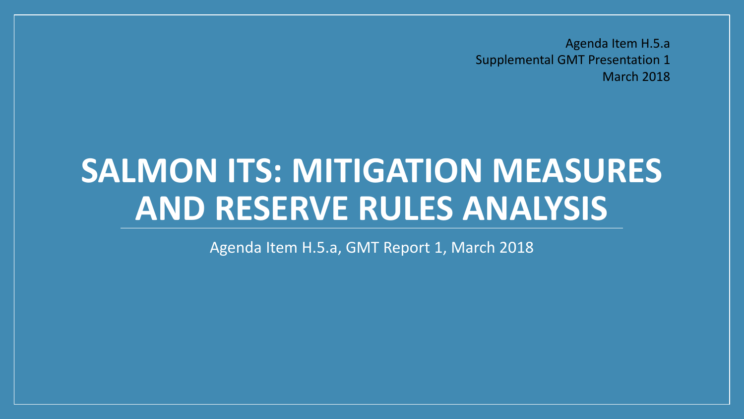Agenda Item H.5.a Supplemental GMT Presentation 1 March 2018

# **SALMON ITS: MITIGATION MEASURES AND RESERVE RULES ANALYSIS**

Agenda Item H.5.a, GMT Report 1, March 2018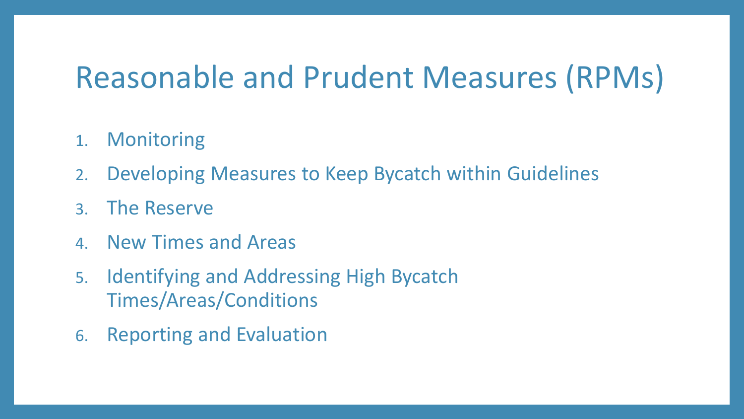### Reasonable and Prudent Measures (RPMs)

- 1. Monitoring
- 2. Developing Measures to Keep Bycatch within Guidelines
- 3. The Reserve
- 4. New Times and Areas
- 5. Identifying and Addressing High Bycatch Times/Areas/Conditions
- 6. Reporting and Evaluation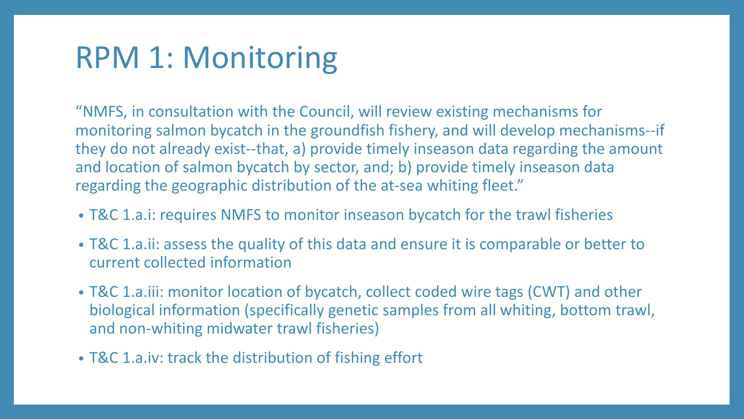# RPM 1: Monitoring

"NMFS, in consultation with the Council, will review existing mechanisms for monitoring salmon bycatch in the groundfish fishery, and will develop mechanisms--if they do not already exist--that, a) provide timely inseason data regarding the amount and location of salmon bycatch by sector, and; b) provide timely inseason data regarding the geographic distribution of the at-sea whiting fleet."

- T&C 1.a.i: requires NMFS to monitor inseason bycatch for the trawl fisheries
- T&C 1.a.ii: assess the quality of this data and ensure it is comparable or better to current collected information
- T&C 1.a.iii: monitor location of bycatch, collect coded wire tags (CWT) and other biological information (specifically genetic samples from all whiting, bottom trawl, and non-whiting midwater trawl fisheries)
- T&C 1.a.iv: track the distribution of fishing effort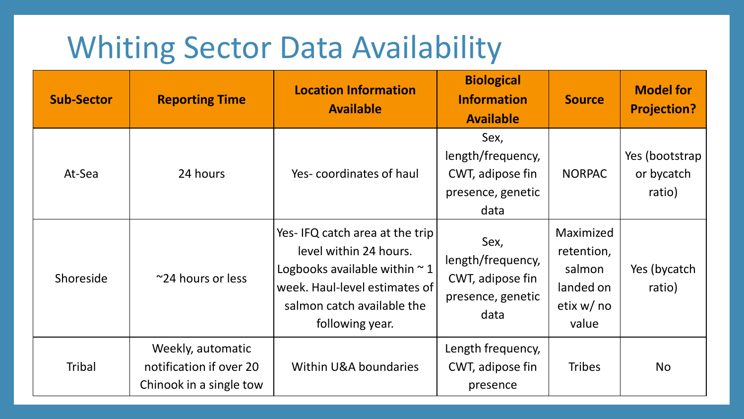# Whiting Sector Data Availability

| <b>Sub-Sector</b> | <b>Reporting Time</b>                                                   | <b>Location Information</b><br><b>Available</b>                                                                                                                                  | <b>Biological</b><br><b>Information</b><br><b>Available</b>                | <b>Source</b>                                                          | <b>Model for</b><br><b>Projection?</b> |
|-------------------|-------------------------------------------------------------------------|----------------------------------------------------------------------------------------------------------------------------------------------------------------------------------|----------------------------------------------------------------------------|------------------------------------------------------------------------|----------------------------------------|
| At-Sea            | 24 hours                                                                | Yes-coordinates of haul                                                                                                                                                          | Sex,<br>length/frequency,<br>CWT, adipose fin<br>presence, genetic<br>data | <b>NORPAC</b>                                                          | Yes (bootstrap<br>or bycatch<br>ratio) |
| Shoreside         | $\approx$ 24 hours or less                                              | Yes-IFQ catch area at the trip<br>level within 24 hours.<br>Logbooks available within $\sim$ 1<br>week. Haul-level estimates of<br>salmon catch available the<br>following year. | Sex,<br>length/frequency,<br>CWT, adipose fin<br>presence, genetic<br>data | Maximized<br>retention,<br>salmon<br>landed on<br>etix $w/no$<br>value | Yes (bycatch<br>ratio)                 |
| <b>Tribal</b>     | Weekly, automatic<br>notification if over 20<br>Chinook in a single tow | Within U&A boundaries                                                                                                                                                            | Length frequency,<br>CWT, adipose fin<br>presence                          | <b>Tribes</b>                                                          | <b>No</b>                              |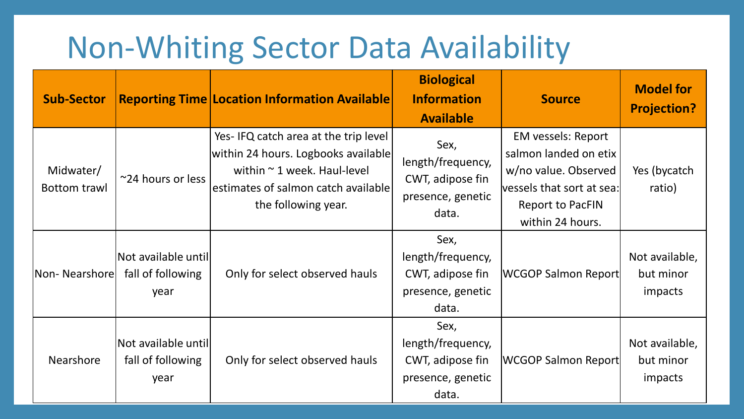# Non-Whiting Sector Data Availability

| <b>Sub-Sector</b>         |                                                   | <b>Reporting Time Location Information Available</b>                                                                                                                          | <b>Biological</b><br><b>Information</b><br><b>Available</b>                 | <b>Source</b>                                                                                                                                          | <b>Model for</b><br><b>Projection?</b> |
|---------------------------|---------------------------------------------------|-------------------------------------------------------------------------------------------------------------------------------------------------------------------------------|-----------------------------------------------------------------------------|--------------------------------------------------------------------------------------------------------------------------------------------------------|----------------------------------------|
| Midwater/<br>Bottom trawl | ~24 hours or less                                 | Yes-IFQ catch area at the trip level<br>within 24 hours. Logbooks available<br>within $\sim$ 1 week. Haul-level<br>estimates of salmon catch available<br>the following year. | Sex,<br>length/frequency,<br>CWT, adipose fin<br>presence, genetic<br>data. | <b>EM vessels: Report</b><br>salmon landed on etix<br>w/no value. Observed<br>vessels that sort at sea:<br><b>Report to PacFIN</b><br>within 24 hours. | Yes (bycatch<br>ratio)                 |
| Non-Nearshorel            | Not available until <br>fall of following<br>year | Only for select observed hauls                                                                                                                                                | Sex,<br>length/frequency,<br>CWT, adipose fin<br>presence, genetic<br>data. | <b>WCGOP Salmon Report</b>                                                                                                                             | Not available,<br>but minor<br>impacts |
| <b>Nearshore</b>          | Not available until<br>fall of following<br>year  | Only for select observed hauls                                                                                                                                                | Sex,<br>length/frequency,<br>CWT, adipose fin<br>presence, genetic<br>data. | <b>WCGOP Salmon Report</b>                                                                                                                             | Not available,<br>but minor<br>impacts |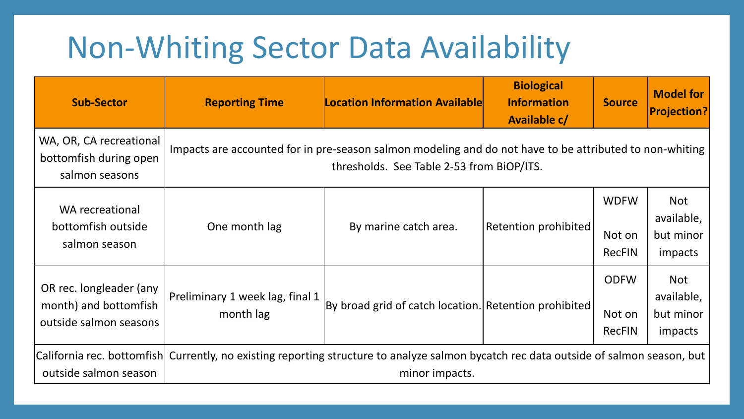# Non-Whiting Sector Data Availability

| <b>Sub-Sector</b>                                                          | <b>Reporting Time</b>                        | <b>Location Information Available</b>                                                                                                                     | <b>Biological</b><br><b>Information</b><br>Available c/ | <b>Source</b>                          | <b>Model for</b><br><b>Projection?</b>           |
|----------------------------------------------------------------------------|----------------------------------------------|-----------------------------------------------------------------------------------------------------------------------------------------------------------|---------------------------------------------------------|----------------------------------------|--------------------------------------------------|
| WA, OR, CA recreational<br>bottomfish during open<br>salmon seasons        |                                              | Impacts are accounted for in pre-season salmon modeling and do not have to be attributed to non-whiting<br>thresholds. See Table 2-53 from BiOP/ITS.      |                                                         |                                        |                                                  |
| WA recreational<br>bottomfish outside<br>salmon season                     | One month lag                                | By marine catch area.                                                                                                                                     | Retention prohibited                                    | <b>WDFW</b><br>Not on<br><b>RecFIN</b> | <b>Not</b><br>available,<br>but minor<br>impacts |
| OR rec. longleader (any<br>month) and bottomfish<br>outside salmon seasons | Preliminary 1 week lag, final 1<br>month lag | By broad grid of catch location.  Retention prohibited                                                                                                    |                                                         | <b>ODFW</b><br>Not on<br><b>RecFIN</b> | <b>Not</b><br>available,<br>but minor<br>impacts |
| outside salmon season                                                      |                                              | California rec. bottomfish  Currently, no existing reporting structure to analyze salmon bycatch rec data outside of salmon season, but<br>minor impacts. |                                                         |                                        |                                                  |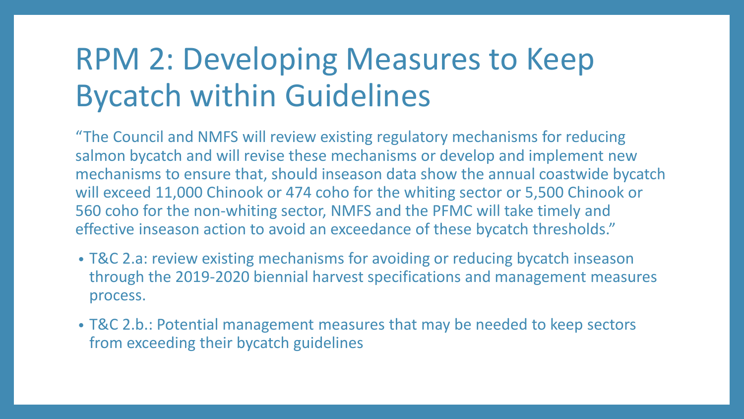# RPM 2: Developing Measures to Keep Bycatch within Guidelines

"The Council and NMFS will review existing regulatory mechanisms for reducing salmon bycatch and will revise these mechanisms or develop and implement new mechanisms to ensure that, should inseason data show the annual coastwide bycatch will exceed 11,000 Chinook or 474 coho for the whiting sector or 5,500 Chinook or 560 coho for the non-whiting sector, NMFS and the PFMC will take timely and effective inseason action to avoid an exceedance of these bycatch thresholds."

- T&C 2.a: review existing mechanisms for avoiding or reducing bycatch inseason through the 2019-2020 biennial harvest specifications and management measures process.
- T&C 2.b.: Potential management measures that may be needed to keep sectors from exceeding their bycatch guidelines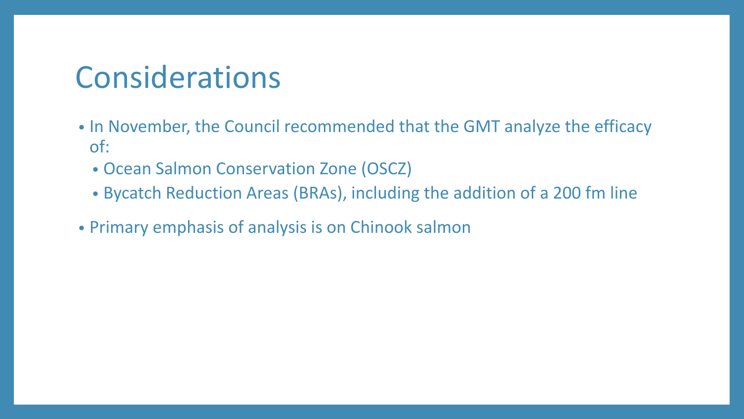### Considerations

- In November, the Council recommended that the GMT analyze the efficacy of:
	- Ocean Salmon Conservation Zone (OSCZ)
	- Bycatch Reduction Areas (BRAs), including the addition of a 200 fm line
- Primary emphasis of analysis is on Chinook salmon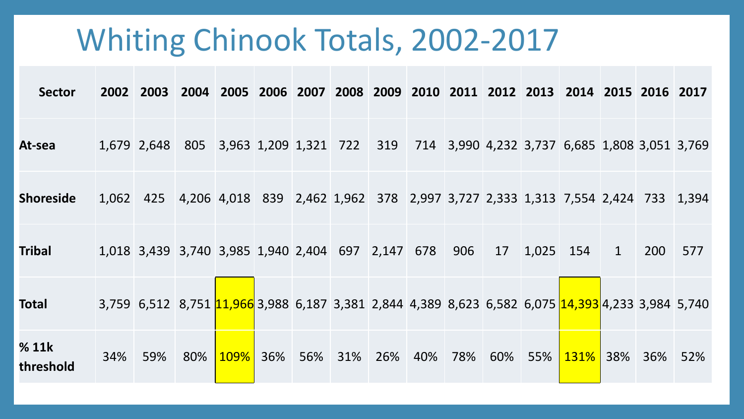### Whiting Chinook Totals, 2002-2017

| <b>Sector</b>      |     | 2002 2003                                         |     |             |     |     |        |     |     |     |     |           | 2004 2005 2006 2007 2008 2009 2010 2011 2012 2013 2014 2015 2016 2017                                          |              |     |     |
|--------------------|-----|---------------------------------------------------|-----|-------------|-----|-----|--------|-----|-----|-----|-----|-----------|----------------------------------------------------------------------------------------------------------------|--------------|-----|-----|
| At-sea             |     |                                                   |     |             |     |     |        |     |     |     |     |           | 1,679 2,648 805 3,963 1,209 1,321 722 319 714 3,990 4,232 3,737 6,685 1,808 3,051 3,769                        |              |     |     |
| <b>Shoreside</b>   |     |                                                   |     |             |     |     |        |     |     |     |     |           | 1,062 425 4,206 4,018 839 2,462 1,962 378 2,997 3,727 2,333 1,313 7,554 2,424 733 1,394                        |              |     |     |
| <b>Tribal</b>      |     | 1,018 3,439 3,740 3,985 1,940 2,404 697 2,147 678 |     |             |     |     |        |     |     | 906 | 17  | 1,025 154 |                                                                                                                | $\mathbf{1}$ | 200 | 577 |
| <b>Total</b>       |     |                                                   |     |             |     |     |        |     |     |     |     |           | 3,759 6,512 8,751 <mark>11,966</mark> 3,988 6,187 3,381 2,844 4,389 8,623 6,582 6,075 14,393 4,233 3,984 5,740 |              |     |     |
| % 11k<br>threshold | 34% | 59%                                               | 80% | <b>109%</b> | 36% | 56% | $31\%$ | 26% | 40% | 78% | 60% | 55%       | 131%                                                                                                           | 38%          | 36% | 52% |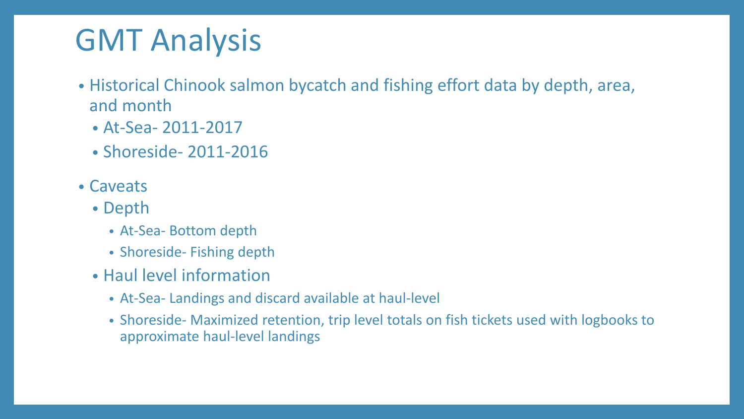# GMT Analysis

- Historical Chinook salmon bycatch and fishing effort data by depth, area, and month
	- At-Sea- 2011-2017
	- Shoreside- 2011-2016
- Caveats
	- Depth
		- At-Sea- Bottom depth
		- Shoreside- Fishing depth
	- Haul level information
		- At-Sea- Landings and discard available at haul-level
		- Shoreside- Maximized retention, trip level totals on fish tickets used with logbooks to approximate haul-level landings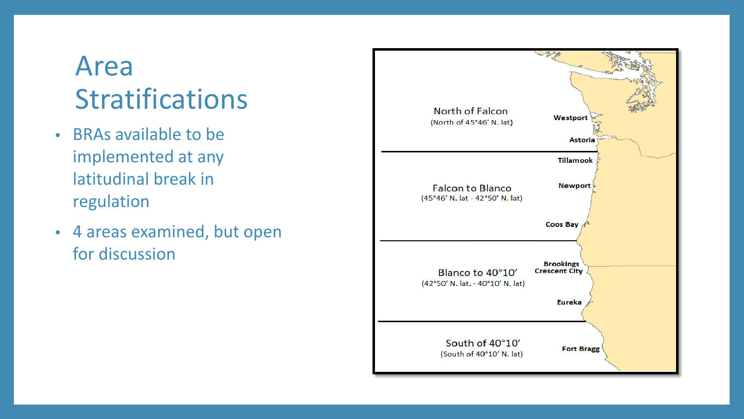### Area Stratifications

- BRAs available to be implemented at any latitudinal break in regulation
- 4 areas examined, but open for discussion

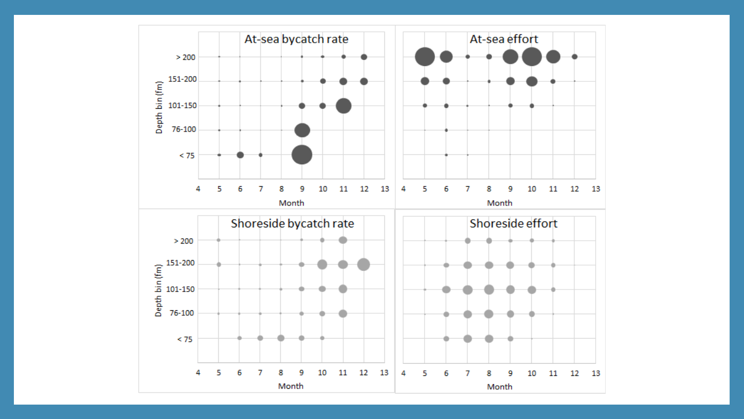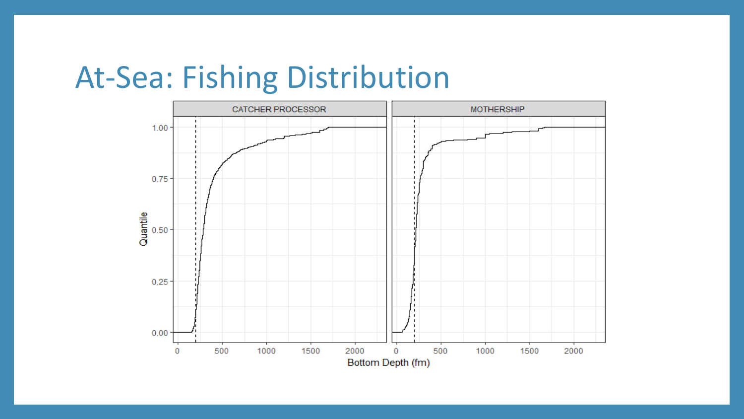### At-Sea: Fishing Distribution

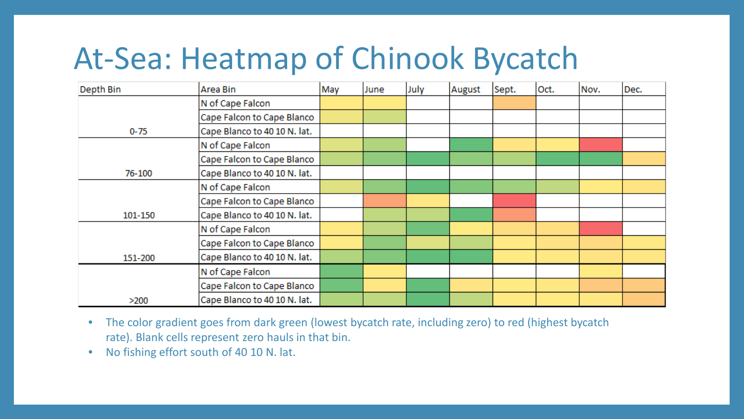# At-Sea: Heatmap of Chinook Bycatch

| Depth Bin | Area Bin                     | May | June | July | August | Sept. | Oct. | Nov. | Dec. |
|-----------|------------------------------|-----|------|------|--------|-------|------|------|------|
|           | N of Cape Falcon             |     |      |      |        |       |      |      |      |
|           | Cape Falcon to Cape Blanco   |     |      |      |        |       |      |      |      |
| $0 - 75$  | Cape Blanco to 40 10 N. lat. |     |      |      |        |       |      |      |      |
|           | N of Cape Falcon             |     |      |      |        |       |      |      |      |
|           | Cape Falcon to Cape Blanco   |     |      |      |        |       |      |      |      |
| 76-100    | Cape Blanco to 40 10 N. lat. |     |      |      |        |       |      |      |      |
|           | N of Cape Falcon             |     |      |      |        |       |      |      |      |
|           | Cape Falcon to Cape Blanco   |     |      |      |        |       |      |      |      |
| 101-150   | Cape Blanco to 40 10 N. lat. |     |      |      |        |       |      |      |      |
|           | N of Cape Falcon             |     |      |      |        |       |      |      |      |
|           | Cape Falcon to Cape Blanco   |     |      |      |        |       |      |      |      |
| 151-200   | Cape Blanco to 40 10 N. lat. |     |      |      |        |       |      |      |      |
|           | N of Cape Falcon             |     |      |      |        |       |      |      |      |
|           | Cape Falcon to Cape Blanco   |     |      |      |        |       |      |      |      |
| >200      | Cape Blanco to 40 10 N. lat. |     |      |      |        |       |      |      |      |

- The color gradient goes from dark green (lowest bycatch rate, including zero) to red (highest bycatch rate). Blank cells represent zero hauls in that bin.
- No fishing effort south of 40 10 N. lat.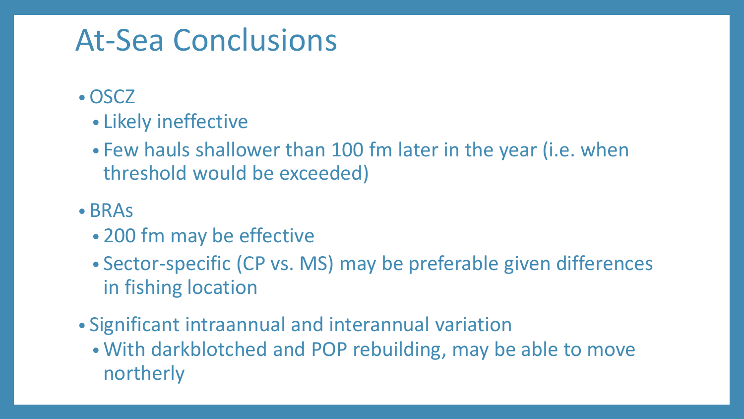### At-Sea Conclusions

- •OSCZ
	- Likely ineffective
	- Few hauls shallower than 100 fm later in the year (i.e. when threshold would be exceeded)
- BRAs
	- 200 fm may be effective
	- Sector-specific (CP vs. MS) may be preferable given differences in fishing location
- Significant intraannual and interannual variation
	- With darkblotched and POP rebuilding, may be able to move northerly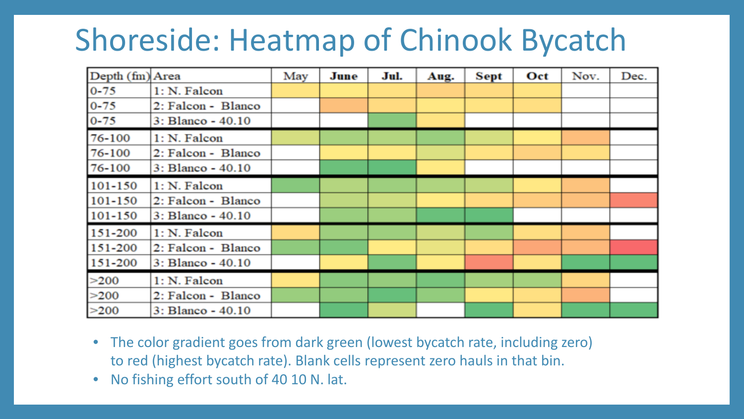# Shoreside: Heatmap of Chinook Bycatch

| Depth (fm) Area |                    | May | June | Jul. | Aug. | Sept | Oct | Nov. | Dec. |
|-----------------|--------------------|-----|------|------|------|------|-----|------|------|
| $0 - 75$        | 1: N. Falcon       |     |      |      |      |      |     |      |      |
| $0 - 75$        | 2: Falcon - Blanco |     |      |      |      |      |     |      |      |
| $0 - 75$        | 3: Blanco - 40.10  |     |      |      |      |      |     |      |      |
| 76-100          | 1: N. Falcon       |     |      |      |      |      |     |      |      |
| 76-100          | 2: Falcon - Blanco |     |      |      |      |      |     |      |      |
| 76-100          | 3: Blanco - 40.10  |     |      |      |      |      |     |      |      |
| 101-150         | 1: N. Falcon       |     |      |      |      |      |     |      |      |
| 101-150         | 2: Falcon - Blanco |     |      |      |      |      |     |      |      |
| 101-150         | 3: Blanco - 40.10  |     |      |      |      |      |     |      |      |
| 151-200         | 1: N. Falcon       |     |      |      |      |      |     |      |      |
| 151-200         | 2: Falcon - Blanco |     |      |      |      |      |     |      |      |
| 151-200         | 3: Blanco - 40.10  |     |      |      |      |      |     |      |      |
| >200            | 1: N. Falcon       |     |      |      |      |      |     |      |      |
| >200            | 2: Falcon - Blanco |     |      |      |      |      |     |      |      |
| >200            | 3: Blanco - 40.10  |     |      |      |      |      |     |      |      |

- The color gradient goes from dark green (lowest bycatch rate, including zero) to red (highest bycatch rate). Blank cells represent zero hauls in that bin.
- No fishing effort south of 40 10 N. lat.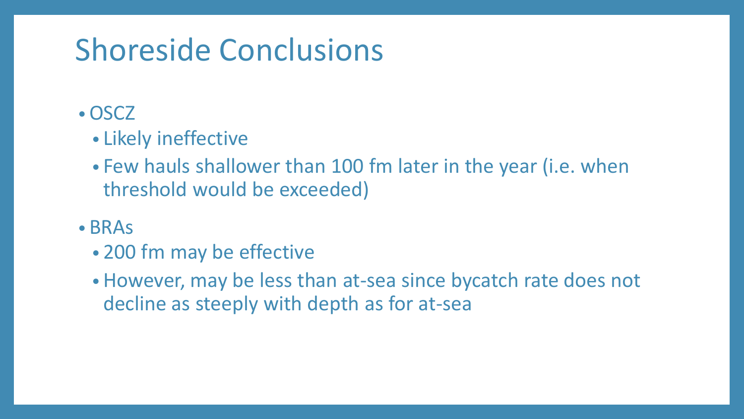# Shoreside Conclusions

### •OSCZ

- Likely ineffective
- Few hauls shallower than 100 fm later in the year (i.e. when threshold would be exceeded)
- BRAs
	- 200 fm may be effective
	- However, may be less than at-sea since bycatch rate does not decline as steeply with depth as for at-sea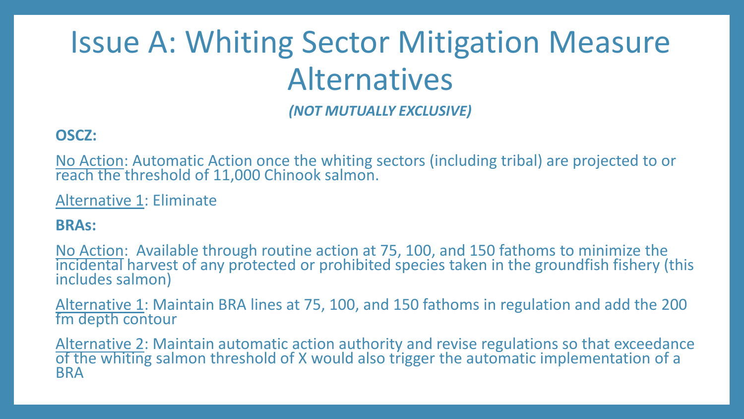# Issue A: Whiting Sector Mitigation Measure Alternatives

*(NOT MUTUALLY EXCLUSIVE)*

#### **OSCZ:**

No Action: Automatic Action once the whiting sectors (including tribal) are projected to or reach the threshold of 11,000 Chinook salmon.

Alternative 1: Eliminate

#### **BRAs:**

No Action: Available through routine action at 75, 100, and 150 fathoms to minimize the incidental harvest of any protected or prohibited species taken in the groundfish fishery (this includes salmon)

Alternative 1: Maintain BRA lines at 75, 100, and 150 fathoms in regulation and add the 200 fm depth contour

Alternative 2: Maintain automatic action authority and revise regulations so that exceedance of the whiting salmon threshold of X would also trigger the automatic implementation of a BRA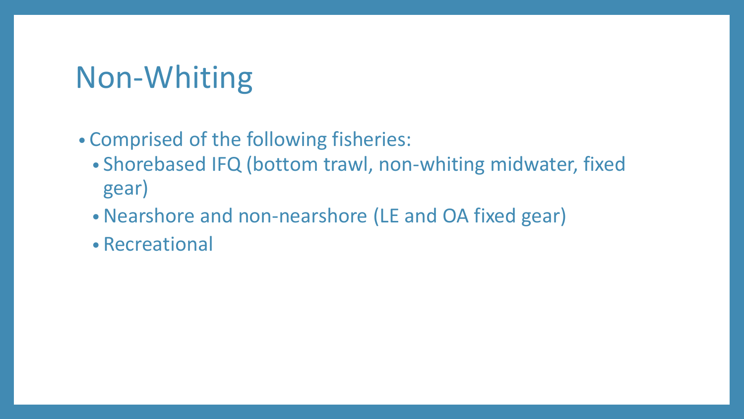# Non-Whiting

### • Comprised of the following fisheries:

- Shorebased IFQ (bottom trawl, non-whiting midwater, fixed gear)
- •Nearshore and non-nearshore (LE and OA fixed gear)
- Recreational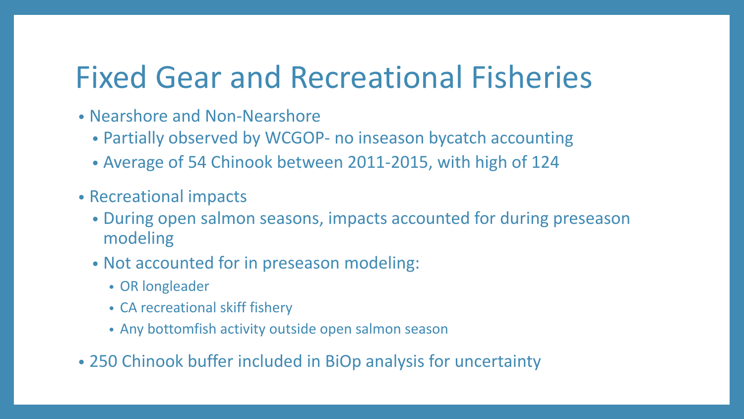# Fixed Gear and Recreational Fisheries

- Nearshore and Non-Nearshore
	- Partially observed by WCGOP- no inseason bycatch accounting
	- Average of 54 Chinook between 2011-2015, with high of 124
- Recreational impacts
	- During open salmon seasons, impacts accounted for during preseason modeling
	- Not accounted for in preseason modeling:
		- OR longleader
		- CA recreational skiff fishery
		- Any bottomfish activity outside open salmon season
- 250 Chinook buffer included in BiOp analysis for uncertainty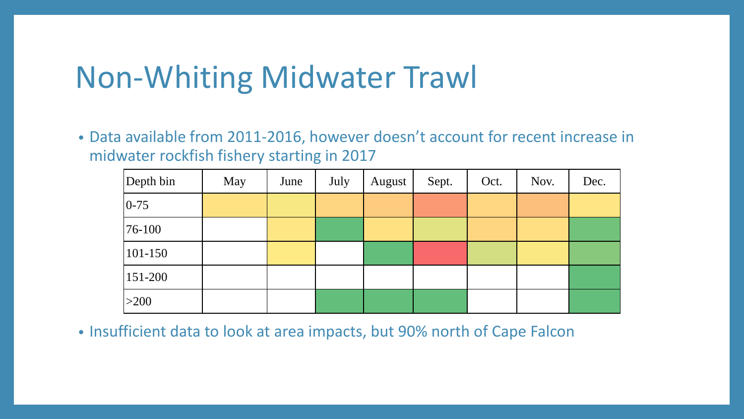### Non-Whiting Midwater Trawl

• Data available from 2011-2016, however doesn't account for recent increase in midwater rockfish fishery starting in 2017

| Depth bin    | May | June | July | August | Sept. | Oct. | Nov. | Dec. |
|--------------|-----|------|------|--------|-------|------|------|------|
| $ 0-75 $     |     |      |      |        |       |      |      |      |
| $ 76 - 100 $ |     |      |      |        |       |      |      |      |
| 101-150      |     |      |      |        |       |      |      |      |
| 151-200      |     |      |      |        |       |      |      |      |
| $>200$       |     |      |      |        |       |      |      |      |

• Insufficient data to look at area impacts, but 90% north of Cape Falcon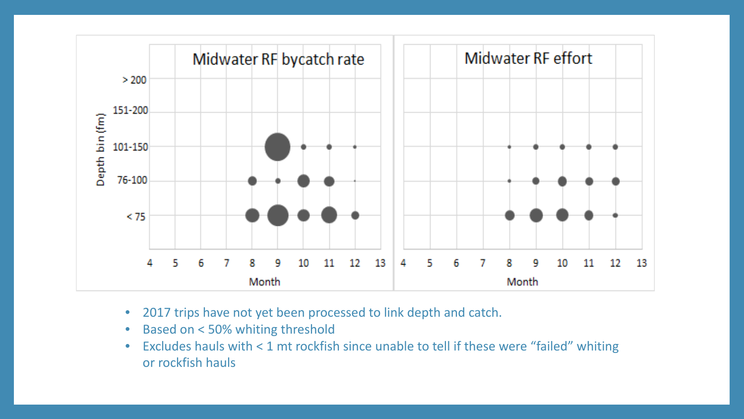

- 2017 trips have not yet been processed to link depth and catch.
- Based on < 50% whiting threshold
- Excludes hauls with < 1 mt rockfish since unable to tell if these were "failed" whiting or rockfish hauls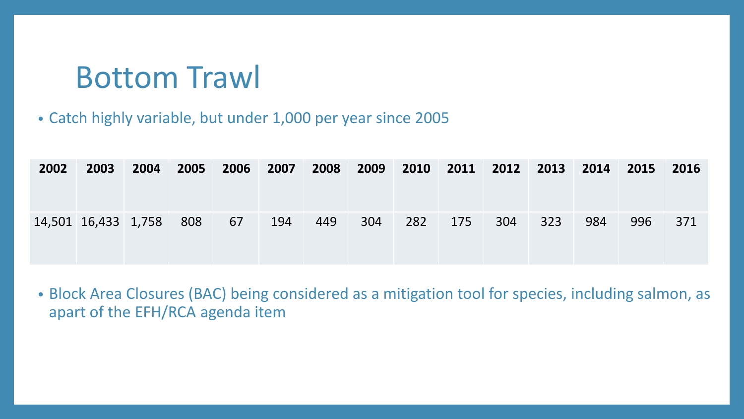### Bottom Trawl

#### • Catch highly variable, but under 1,000 per year since 2005

| 2002 | 2003                    | 2004 | 2005 | 2006 2007 |     |     |     |     |     |     | 2008 2009 2010 2011 2012 2013 2014 2015 2016 |     |     |     |
|------|-------------------------|------|------|-----------|-----|-----|-----|-----|-----|-----|----------------------------------------------|-----|-----|-----|
|      | 14,501 16,433 1,758 808 |      |      | 67        | 194 | 449 | 304 | 282 | 175 | 304 | 323                                          | 984 | 996 | 371 |

• Block Area Closures (BAC) being considered as a mitigation tool for species, including salmon, as apart of the EFH/RCA agenda item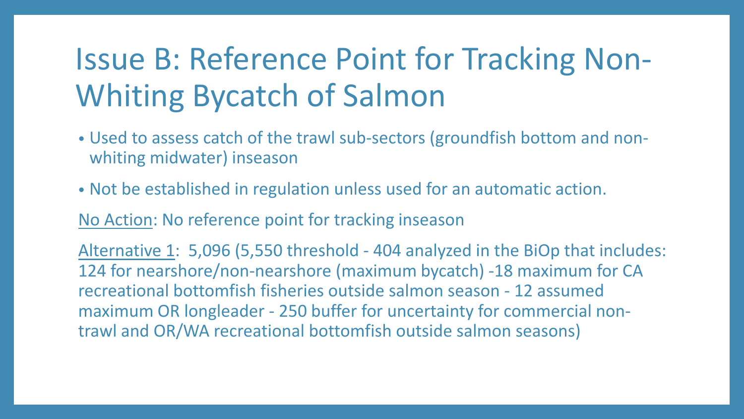# Issue B: Reference Point for Tracking Non-Whiting Bycatch of Salmon

- Used to assess catch of the trawl sub-sectors (groundfish bottom and nonwhiting midwater) inseason
- Not be established in regulation unless used for an automatic action.

No Action: No reference point for tracking inseason

Alternative 1: 5,096 (5,550 threshold - 404 analyzed in the BiOp that includes: 124 for nearshore/non-nearshore (maximum bycatch) -18 maximum for CA recreational bottomfish fisheries outside salmon season - 12 assumed maximum OR longleader - 250 buffer for uncertainty for commercial nontrawl and OR/WA recreational bottomfish outside salmon seasons)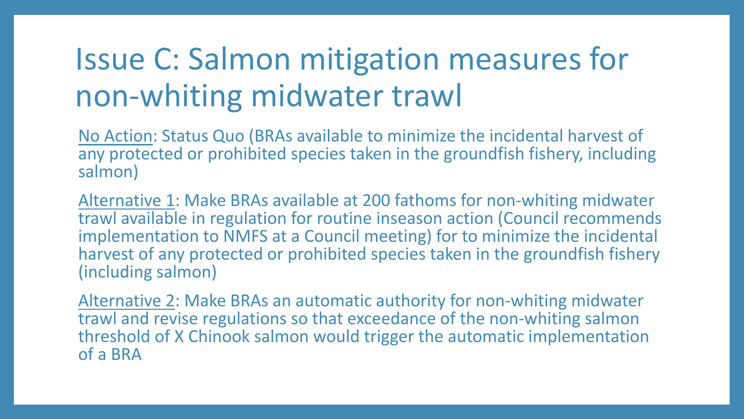# Issue C: Salmon mitigation measures for non-whiting midwater trawl

No Action: Status Quo (BRAs available to minimize the incidental harvest of any protected or prohibited species taken in the groundfish fishery, including salmon)

Alternative 1: Make BRAs available at 200 fathoms for non-whiting midwater trawl available in regulation for routine inseason action (Council recommends implementation to NMFS at a Council meeting) for to minimize the incidental harvest of any protected or prohibited species taken in the groundfish fishery (including salmon)

Alternative 2: Make BRAs an automatic authority for non-whiting midwater trawl and revise regulations so that exceedance of the non-whiting salmon threshold of X Chinook salmon would trigger the automatic implementation of a BRA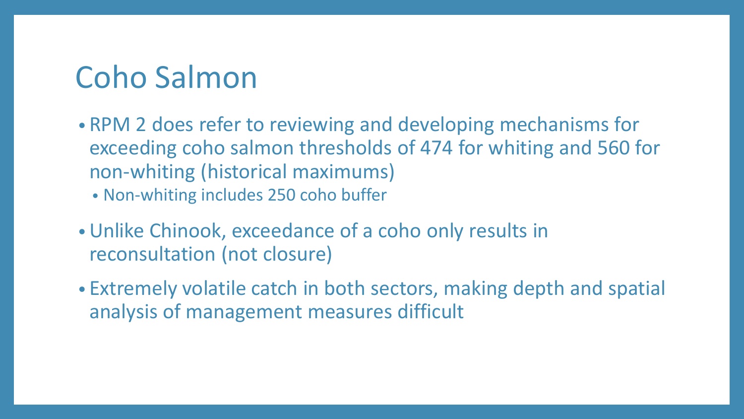## Coho Salmon

- RPM 2 does refer to reviewing and developing mechanisms for exceeding coho salmon thresholds of 474 for whiting and 560 for non-whiting (historical maximums)
	- Non-whiting includes 250 coho buffer
- •Unlike Chinook, exceedance of a coho only results in reconsultation (not closure)
- Extremely volatile catch in both sectors, making depth and spatial analysis of management measures difficult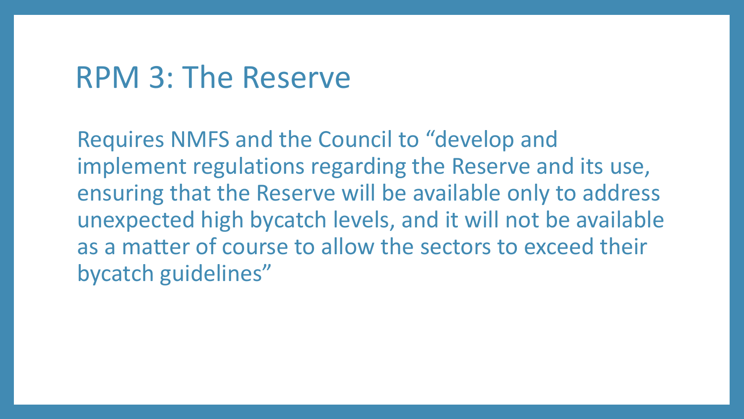### RPM 3: The Reserve

Requires NMFS and the Council to "develop and implement regulations regarding the Reserve and its use, ensuring that the Reserve will be available only to address unexpected high bycatch levels, and it will not be available as a matter of course to allow the sectors to exceed their bycatch guidelines"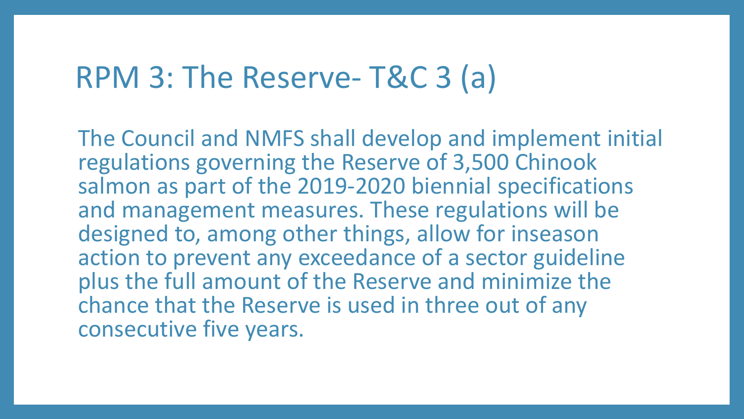### RPM 3: The Reserve- T&C 3 (a)

The Council and NMFS shall develop and implement initial regulations governing the Reserve of 3,500 Chinook salmon as part of the 2019-2020 biennial specifications and management measures. These regulations will be designed to, among other things, allow for inseason action to prevent any exceedance of a sector guideline plus the full amount of the Reserve and minimize the chance that the Reserve is used in three out of any consecutive five years.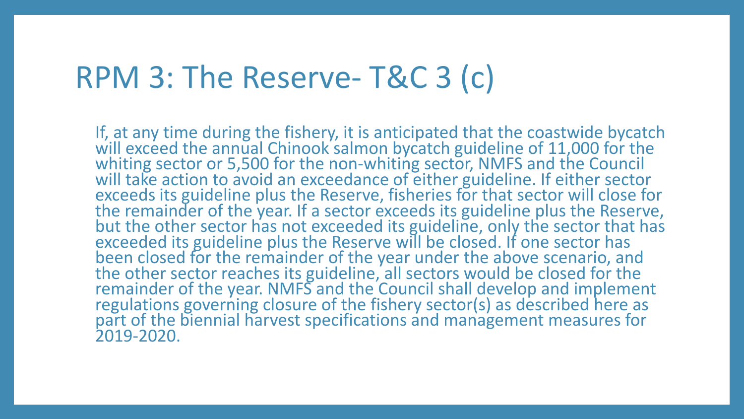### RPM 3: The Reserve- T&C 3 (c)

If, at any time during the fishery, it is anticipated that the coastwide bycatch will exceed the annual Chinook salmon bycatch guideline of 11,000 for the whiting sector or 5,500 for the non-whiting sector, NMFS and the Council<br>will take action to avoid an exceedance of either guideline. If either sector exceeds its guideline plus the Reserve, fisheries for that sector will close for the remainder of the year. If a sector exceeds its guideline plus the Reserve, but the other sector has not exceeded its guideline, only the sector that has exceeded its guideline plus the Reserve will be closed. If one sector has been closed for the remainder of the year under the above scenario, and the other sector reaches its guideline, all sectors would be closed for the remainder of the year. NMFS and the Council shall develop and implement<br>regulations governing closure of the fishery sector(s) as described here as part of the biennial harvest specifications and management measures for 2019-2020.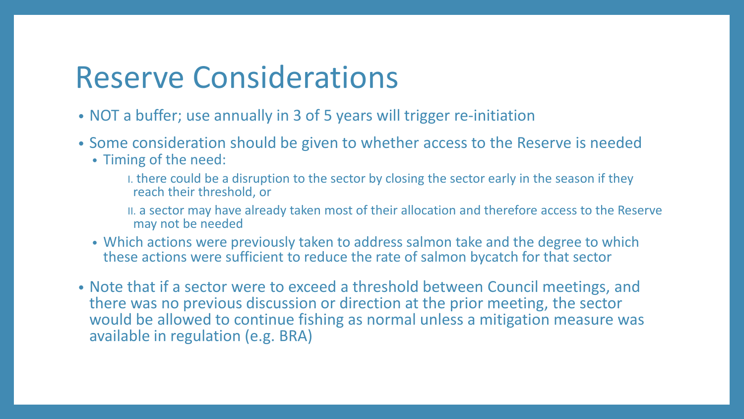### Reserve Considerations

- NOT a buffer; use annually in 3 of 5 years will trigger re-initiation
- Some consideration should be given to whether access to the Reserve is needed
	- Timing of the need:
		- I. there could be a disruption to the sector by closing the sector early in the season if they reach their threshold, or
		- II. a sector may have already taken most of their allocation and therefore access to the Reserve may not be needed
	- Which actions were previously taken to address salmon take and the degree to which these actions were sufficient to reduce the rate of salmon bycatch for that sector
- Note that if a sector were to exceed a threshold between Council meetings, and there was no previous discussion or direction at the prior meeting, the sector would be allowed to continue fishing as normal unless a mitigation measure was available in regulation (e.g. BRA)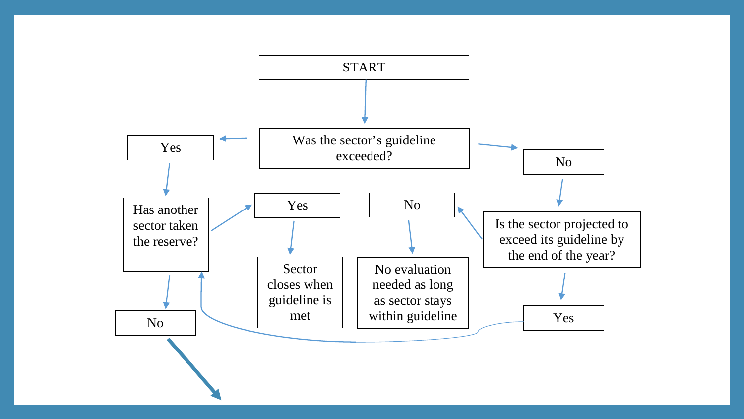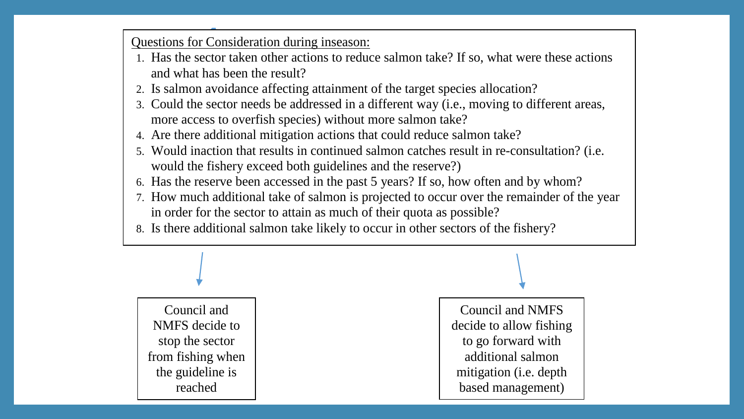Questions for Consideration during inseason:

- 1. Has the sector taken other actions to reduce salmon take? If so, what were these actions and what has been the result?
- 2. Is salmon avoidance affecting attainment of the target species allocation?
- 3. Could the sector needs be addressed in a different way (i.e., moving to different areas, more access to overfish species) without more salmon take?
- 4. Are there additional mitigation actions that could reduce salmon take?
- 5. Would inaction that results in continued salmon catches result in re-consultation? (i.e. would the fishery exceed both guidelines and the reserve?)
- 6. Has the reserve been accessed in the past 5 years? If so, how often and by whom?
- 7. How much additional take of salmon is projected to occur over the remainder of the year in order for the sector to attain as much of their quota as possible?
- 8. Is there additional salmon take likely to occur in other sectors of the fishery?

Council and NMFS decide to stop the sector from fishing when the guideline is reached

Council and NMFS decide to allow fishing to go forward with additional salmon mitigation (i.e. depth based management)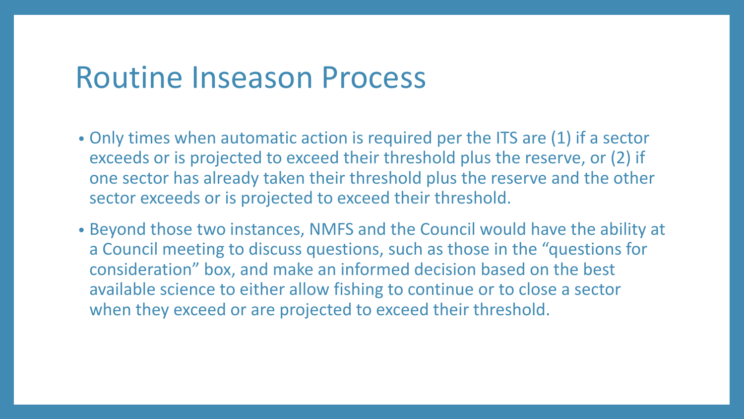### Routine Inseason Process

- Only times when automatic action is required per the ITS are (1) if a sector exceeds or is projected to exceed their threshold plus the reserve, or (2) if one sector has already taken their threshold plus the reserve and the other sector exceeds or is projected to exceed their threshold.
- Beyond those two instances, NMFS and the Council would have the ability at a Council meeting to discuss questions, such as those in the "questions for consideration" box, and make an informed decision based on the best available science to either allow fishing to continue or to close a sector when they exceed or are projected to exceed their threshold.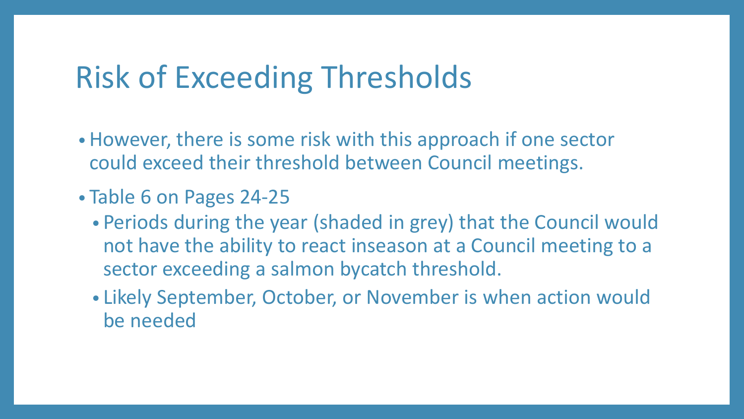### Risk of Exceeding Thresholds

- However, there is some risk with this approach if one sector could exceed their threshold between Council meetings.
- Table 6 on Pages 24-25
	- Periods during the year (shaded in grey) that the Council would not have the ability to react inseason at a Council meeting to a sector exceeding a salmon bycatch threshold.
	- Likely September, October, or November is when action would be needed